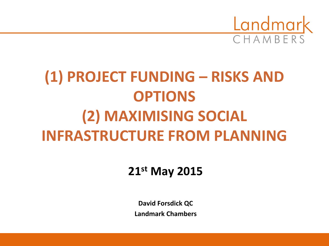

# **(1) PROJECT FUNDING – RISKS AND OPTIONS (2) MAXIMISING SOCIAL INFRASTRUCTURE FROM PLANNING**

### **21st May 2015**

**David Forsdick QC Landmark Chambers**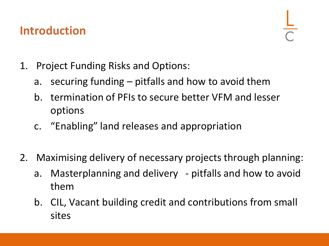### **Introduction**

- 1. Project Funding Risks and Options:
	- a. securing funding pitfalls and how to avoid them
	- b. termination of PFIs to secure better VFM and lesser options
	- c. "Enabling" land releases and appropriation
- 2. Maximising delivery of necessary projects through planning:
	- a. Masterplanning and delivery pitfalls and how to avoid them
	- b. CIL, Vacant building credit and contributions from small sites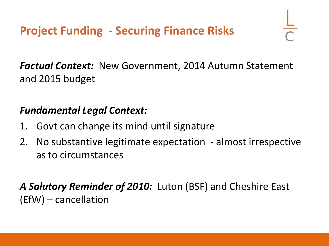*Factual Context:* New Government, 2014 Autumn Statement and 2015 budget

### *Fundamental Legal Context:*

- 1. Govt can change its mind until signature
- 2. No substantive legitimate expectation almost irrespective as to circumstances

*A Salutory Reminder of 2010:* Luton (BSF) and Cheshire East (EfW) – cancellation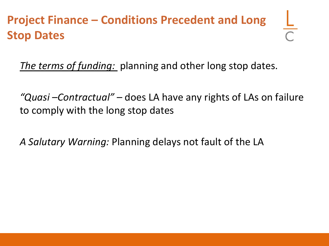# **Project Finance – Conditions Precedent and Long Stop Dates**

*The terms of funding:* planning and other long stop dates.

*"Quasi –Contractual" –* does LA have any rights of LAs on failure to comply with the long stop dates

*A Salutary Warning:* Planning delays not fault of the LA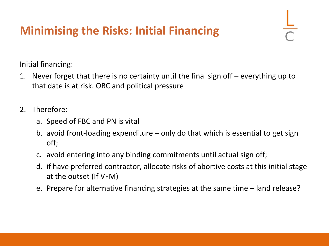# **Minimising the Risks: Initial Financing**

Initial financing:

- 1. Never forget that there is no certainty until the final sign off everything up to that date is at risk. OBC and political pressure
- 2. Therefore:
	- a. Speed of FBC and PN is vital
	- b. avoid front-loading expenditure only do that which is essential to get sign off;
	- c. avoid entering into any binding commitments until actual sign off;
	- d. if have preferred contractor, allocate risks of abortive costs at this initial stage at the outset (If VFM)
	- e. Prepare for alternative financing strategies at the same time land release?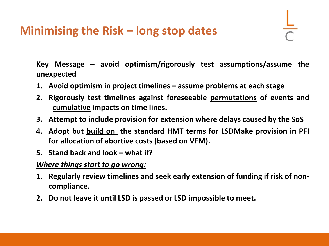### **Minimising the Risk – long stop dates**

**Key Message – avoid optimism/rigorously test assumptions/assume the unexpected**

- **1. Avoid optimism in project timelines – assume problems at each stage**
- **2. Rigorously test timelines against foreseeable permutations of events and cumulative impacts on time lines.**
- **3. Attempt to include provision for extension where delays caused by the SoS**
- **4. Adopt but build on the standard HMT terms for LSDMake provision in PFI for allocation of abortive costs (based on VFM).**
- **5. Stand back and look – what if?**

#### *Where things start to go wrong:*

- **1. Regularly review timelines and seek early extension of funding if risk of noncompliance.**
- **2. Do not leave it until LSD is passed or LSD impossible to meet.**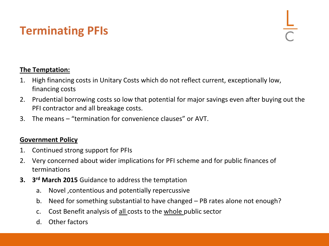# **Terminating PFIs**

#### **The Temptation:**

- 1. High financing costs in Unitary Costs which do not reflect current, exceptionally low, financing costs
- 2. Prudential borrowing costs so low that potential for major savings even after buying out the PFI contractor and all breakage costs.
- 3. The means "termination for convenience clauses" or AVT.

#### **Government Policy**

- 1. Continued strong support for PFIs
- 2. Very concerned about wider implications for PFI scheme and for public finances of terminations
- **3. 3 rd March 2015** Guidance to address the temptation
	- a. Novel ,contentious and potentially repercussive
	- b. Need for something substantial to have changed PB rates alone not enough?
	- c. Cost Benefit analysis of all costs to the whole public sector
	- d. Other factors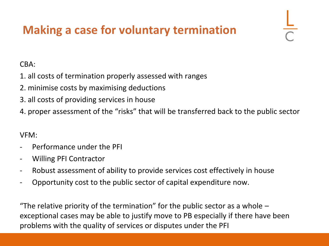# **Making a case for voluntary termination**

#### CBA:

- 1. all costs of termination properly assessed with ranges
- 2. minimise costs by maximising deductions
- 3. all costs of providing services in house
- 4. proper assessment of the "risks" that will be transferred back to the public sector

#### VFM:

- Performance under the PFI
- Willing PFI Contractor
- Robust assessment of ability to provide services cost effectively in house
- Opportunity cost to the public sector of capital expenditure now.

"The relative priority of the termination" for the public sector as a whole  $$ exceptional cases may be able to justify move to PB especially if there have been problems with the quality of services or disputes under the PFI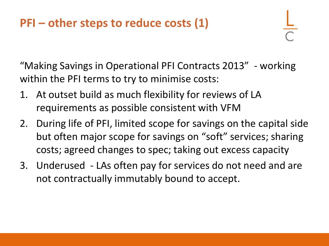# **PFI – other steps to reduce costs (1)**

"Making Savings in Operational PFI Contracts 2013" - working within the PFI terms to try to minimise costs:

- 1. At outset build as much flexibility for reviews of LA requirements as possible consistent with VFM
- 2. During life of PFI, limited scope for savings on the capital side but often major scope for savings on "soft" services; sharing costs; agreed changes to spec; taking out excess capacity
- 3. Underused LAs often pay for services do not need and are not contractually immutably bound to accept.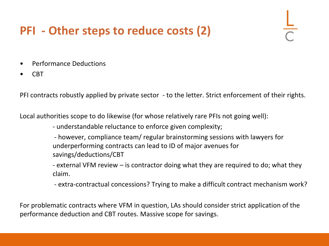# **PFI - Other steps to reduce costs (2)**

- Performance Deductions
- CBT

PFI contracts robustly applied by private sector - to the letter. Strict enforcement of their rights.

Local authorities scope to do likewise (for whose relatively rare PFIs not going well):

- understandable reluctance to enforce given complexity;

- however, compliance team/ regular brainstorming sessions with lawyers for underperforming contracts can lead to ID of major avenues for savings/deductions/CBT

- external VFM review – is contractor doing what they are required to do; what they claim.

- extra-contractual concessions? Trying to make a difficult contract mechanism work?

For problematic contracts where VFM in question, LAs should consider strict application of the performance deduction and CBT routes. Massive scope for savings.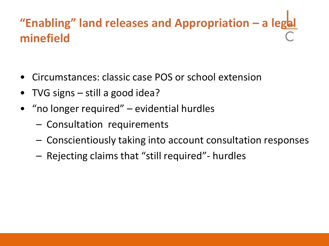# **"Enabling" land releases and Appropriation – a legal minefield**

- Circumstances: classic case POS or school extension
- TVG signs still a good idea?
- "no longer required" evidential hurdles
	- Consultation requirements
	- Conscientiously taking into account consultation responses
	- Rejecting claims that "still required"- hurdles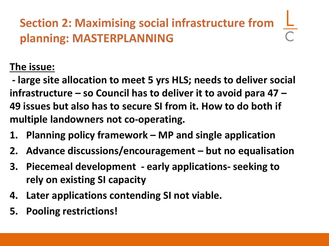# **Section 2: Maximising social infrastructure from planning: MASTERPLANNING**

### **The issue:**

**- large site allocation to meet 5 yrs HLS; needs to deliver social infrastructure – so Council has to deliver it to avoid para 47 – 49 issues but also has to secure SI from it. How to do both if multiple landowners not co-operating.** 

- **1. Planning policy framework – MP and single application**
- **2. Advance discussions/encouragement – but no equalisation**
- **3. Piecemeal development - early applications- seeking to rely on existing SI capacity**
- **4. Later applications contending SI not viable.**
- **5. Pooling restrictions!**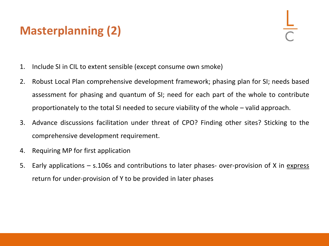# **Masterplanning (2)**

- 1. Include SI in CIL to extent sensible (except consume own smoke)
- 2. Robust Local Plan comprehensive development framework; phasing plan for SI; needs based assessment for phasing and quantum of SI; need for each part of the whole to contribute proportionately to the total SI needed to secure viability of the whole – valid approach.
- 3. Advance discussions facilitation under threat of CPO? Finding other sites? Sticking to the comprehensive development requirement.
- 4. Requiring MP for first application
- 5. Early applications s.106s and contributions to later phases- over-provision of X in express return for under-provision of Y to be provided in later phases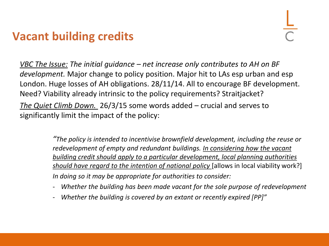## **Vacant building credits**

*VBC The Issue: The initial guidance – net increase only contributes to AH on BF development.* Major change to policy position. Major hit to LAs esp urban and esp London. Huge losses of AH obligations. 28/11/14. All to encourage BF development. Need? Viability already intrinsic to the policy requirements? Straitjacket? *The Quiet Climb Down.* 26/3/15 some words added – crucial and serves to significantly limit the impact of the policy:

> *"The policy is intended to incentivise brownfield development, including the reuse or redevelopment of empty and redundant buildings. In considering how the vacant building credit should apply to a particular development, local planning authorities should have regard to the intention of national policy* [allows in local viability work?] *In doing so it may be appropriate for authorities to consider:*

- *Whether the building has been made vacant for the sole purpose of redevelopment*
- *Whether the building is covered by an extant or recently expired [PP]"*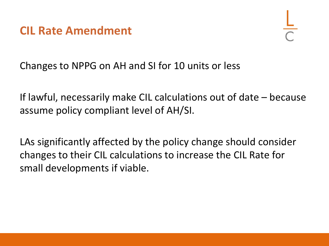**CIL Rate Amendment**

Changes to NPPG on AH and SI for 10 units or less

If lawful, necessarily make CIL calculations out of date – because assume policy compliant level of AH/SI.

LAs significantly affected by the policy change should consider changes to their CIL calculations to increase the CIL Rate for small developments if viable.